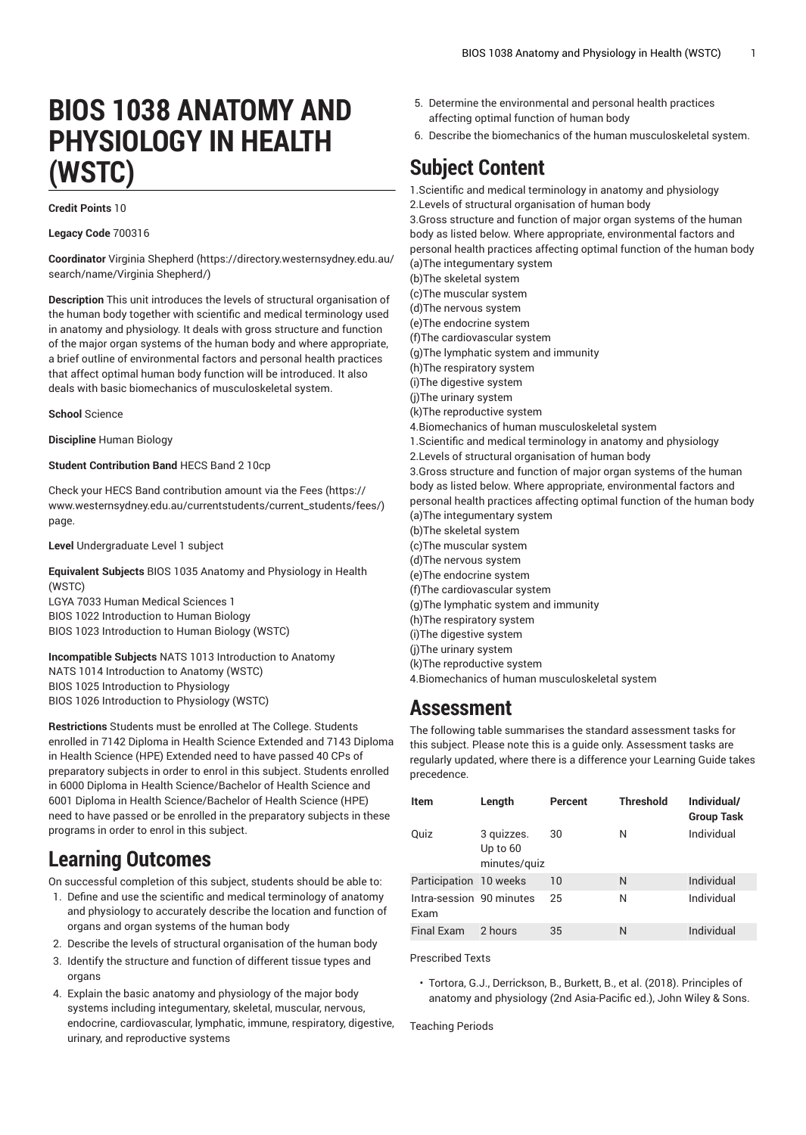# **BIOS 1038 ANATOMY AND PHYSIOLOGY IN HEALTH (WSTC)**

#### **Credit Points** 10

**Legacy Code** 700316

**Coordinator** Virginia [Shepherd](https://directory.westernsydney.edu.au/search/name/Virginia Shepherd/) ([https://directory.westernsydney.edu.au/](https://directory.westernsydney.edu.au/search/name/Virginia Shepherd/) [search/name/Virginia](https://directory.westernsydney.edu.au/search/name/Virginia Shepherd/) Shepherd/)

**Description** This unit introduces the levels of structural organisation of the human body together with scientific and medical terminology used in anatomy and physiology. It deals with gross structure and function of the major organ systems of the human body and where appropriate, a brief outline of environmental factors and personal health practices that affect optimal human body function will be introduced. It also deals with basic biomechanics of musculoskeletal system.

**School** Science

**Discipline** Human Biology

**Student Contribution Band** HECS Band 2 10cp

Check your HECS Band contribution amount via the [Fees \(https://](https://www.westernsydney.edu.au/currentstudents/current_students/fees/) [www.westernsydney.edu.au/currentstudents/current\\_students/fees/\)](https://www.westernsydney.edu.au/currentstudents/current_students/fees/) page.

**Level** Undergraduate Level 1 subject

**Equivalent Subjects** [BIOS 1035](/search/?P=BIOS%201035) Anatomy and Physiology in Health (WSTC)

LGYA 7033 Human Medical Sciences 1 [BIOS 1022](/search/?P=BIOS%201022) Introduction to Human Biology [BIOS 1023](/search/?P=BIOS%201023) Introduction to Human Biology (WSTC)

**Incompatible Subjects** NATS 1013 Introduction to Anatomy NATS 1014 Introduction to Anatomy (WSTC) BIOS 1025 Introduction to Physiology BIOS 1026 Introduction to Physiology (WSTC)

**Restrictions** Students must be enrolled at The College. Students enrolled in 7142 Diploma in Health Science Extended and 7143 Diploma in Health Science (HPE) Extended need to have passed 40 CPs of preparatory subjects in order to enrol in this subject. Students enrolled in 6000 Diploma in Health Science/Bachelor of Health Science and 6001 Diploma in Health Science/Bachelor of Health Science (HPE) need to have passed or be enrolled in the preparatory subjects in these programs in order to enrol in this subject.

#### **Learning Outcomes**

On successful completion of this subject, students should be able to:

- 1. Define and use the scientific and medical terminology of anatomy and physiology to accurately describe the location and function of organs and organ systems of the human body
- 2. Describe the levels of structural organisation of the human body
- 3. Identify the structure and function of different tissue types and organs
- 4. Explain the basic anatomy and physiology of the major body systems including integumentary, skeletal, muscular, nervous, endocrine, cardiovascular, lymphatic, immune, respiratory, digestive, urinary, and reproductive systems
- 5. Determine the environmental and personal health practices affecting optimal function of human body
- 6. Describe the biomechanics of the human musculoskeletal system.

## **Subject Content**

1.Scientific and medical terminology in anatomy and physiology 2.Levels of structural organisation of human body 3.Gross structure and function of major organ systems of the human body as listed below. Where appropriate, environmental factors and personal health practices affecting optimal function of the human body (a)The integumentary system (b)The skeletal system (c)The muscular system (d)The nervous system (e)The endocrine system (f)The cardiovascular system (g)The lymphatic system and immunity (h)The respiratory system (i)The digestive system (j)The urinary system (k)The reproductive system 4.Biomechanics of human musculoskeletal system 1.Scientific and medical terminology in anatomy and physiology 2.Levels of structural organisation of human body 3.Gross structure and function of major organ systems of the human body as listed below. Where appropriate, environmental factors and personal health practices affecting optimal function of the human body (a)The integumentary system (b)The skeletal system (c)The muscular system (d)The nervous system (e)The endocrine system (f)The cardiovascular system (g)The lymphatic system and immunity (h)The respiratory system (i)The digestive system (j)The urinary system (k)The reproductive system 4.Biomechanics of human musculoskeletal system

#### **Assessment**

The following table summarises the standard assessment tasks for this subject. Please note this is a guide only. Assessment tasks are regularly updated, where there is a difference your Learning Guide takes precedence.

| <b>Item</b>                      | Length                                   | Percent | <b>Threshold</b> | Individual/<br><b>Group Task</b> |
|----------------------------------|------------------------------------------|---------|------------------|----------------------------------|
| Quiz                             | 3 quizzes.<br>Up to $60$<br>minutes/quiz | 30      | N                | Individual                       |
| Participation 10 weeks           |                                          | 10      | N                | Individual                       |
| Intra-session 90 minutes<br>Fxam |                                          | 25      | N                | Individual                       |
| <b>Final Exam</b>                | 2 hours                                  | 35      | N                | Individual                       |

Prescribed Texts

• Tortora, G.J., Derrickson, B., Burkett, B., et al. (2018). Principles of anatomy and physiology (2nd Asia-Pacific ed.), John Wiley & Sons.

Teaching Periods